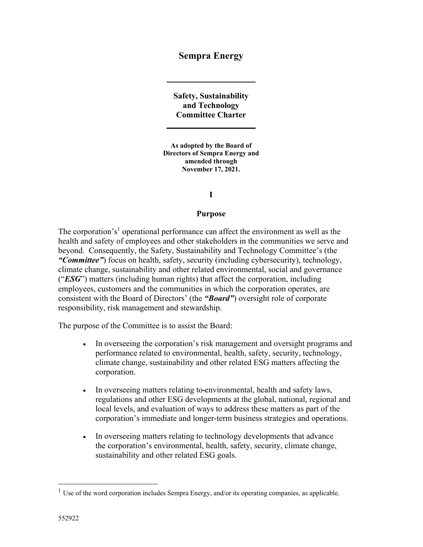# **Sempra Energy**

**Safety, Sustainability and Technology Committee Charter** 

**As adopted by the Board of Directors of Sempra Energy and amended through November 17, 2021.** 

#### **I**

#### **Purpose**

The corporation's<sup>1</sup> operational performance can affect the environment as well as the health and safety of employees and other stakeholders in the communities we serve and beyond. Consequently, the Safety, Sustainability and Technology Committee's (the *"Committee"*) focus on health, safety, security (including cybersecurity), technology, climate change, sustainability and other related environmental, social and governance ("*ESG*") matters (including human rights) that affect the corporation, including employees, customers and the communities in which the corporation operates, are consistent with the Board of Directors' (the *"Board"*) oversight role of corporate responsibility, risk management and stewardship.

The purpose of the Committee is to assist the Board:

- In overseeing the corporation's risk management and oversight programs and performance related to environmental, health, safety, security, technology, climate change, sustainability and other related ESG matters affecting the corporation.
- In overseeing matters relating to-environmental, health and safety laws, regulations and other ESG developments at the global, national, regional and local levels, and evaluation of ways to address these matters as part of the corporation's immediate and longer-term business strategies and operations.
- In overseeing matters relating to technology developments that advance the corporation's environmental, health, safety, security, climate change, sustainability and other related ESG goals.

 $1$  Use of the word corporation includes Sempra Energy, and/or its operating companies, as applicable.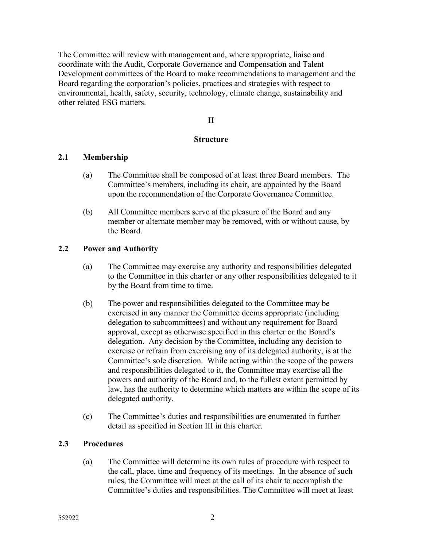The Committee will review with management and, where appropriate, liaise and coordinate with the Audit, Corporate Governance and Compensation and Talent Development committees of the Board to make recommendations to management and the Board regarding the corporation's policies, practices and strategies with respect to environmental, health, safety, security, technology, climate change, sustainability and other related ESG matters.

# **II**

#### **Structure**

# **2.1 Membership**

- (a) The Committee shall be composed of at least three Board members. The Committee's members, including its chair, are appointed by the Board upon the recommendation of the Corporate Governance Committee.
- (b) All Committee members serve at the pleasure of the Board and any member or alternate member may be removed, with or without cause, by the Board.

#### **2.2 Power and Authority**

- (a) The Committee may exercise any authority and responsibilities delegated to the Committee in this charter or any other responsibilities delegated to it by the Board from time to time.
- (b) The power and responsibilities delegated to the Committee may be exercised in any manner the Committee deems appropriate (including delegation to subcommittees) and without any requirement for Board approval, except as otherwise specified in this charter or the Board's delegation. Any decision by the Committee, including any decision to exercise or refrain from exercising any of its delegated authority, is at the Committee's sole discretion. While acting within the scope of the powers and responsibilities delegated to it, the Committee may exercise all the powers and authority of the Board and, to the fullest extent permitted by law, has the authority to determine which matters are within the scope of its delegated authority.
- (c) The Committee's duties and responsibilities are enumerated in further detail as specified in Section III in this charter.

# **2.3 Procedures**

(a) The Committee will determine its own rules of procedure with respect to the call, place, time and frequency of its meetings. In the absence of such rules, the Committee will meet at the call of its chair to accomplish the Committee's duties and responsibilities. The Committee will meet at least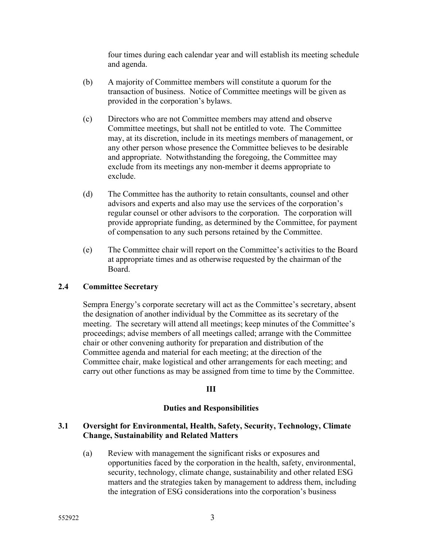four times during each calendar year and will establish its meeting schedule and agenda.

- (b) A majority of Committee members will constitute a quorum for the transaction of business. Notice of Committee meetings will be given as provided in the corporation's bylaws.
- (c) Directors who are not Committee members may attend and observe Committee meetings, but shall not be entitled to vote. The Committee may, at its discretion, include in its meetings members of management, or any other person whose presence the Committee believes to be desirable and appropriate. Notwithstanding the foregoing, the Committee may exclude from its meetings any non-member it deems appropriate to exclude.
- (d) The Committee has the authority to retain consultants, counsel and other advisors and experts and also may use the services of the corporation's regular counsel or other advisors to the corporation. The corporation will provide appropriate funding, as determined by the Committee, for payment of compensation to any such persons retained by the Committee.
- (e) The Committee chair will report on the Committee's activities to the Board at appropriate times and as otherwise requested by the chairman of the Board.

# **2.4 Committee Secretary**

Sempra Energy's corporate secretary will act as the Committee's secretary, absent the designation of another individual by the Committee as its secretary of the meeting. The secretary will attend all meetings; keep minutes of the Committee's proceedings; advise members of all meetings called; arrange with the Committee chair or other convening authority for preparation and distribution of the Committee agenda and material for each meeting; at the direction of the Committee chair, make logistical and other arrangements for each meeting; and carry out other functions as may be assigned from time to time by the Committee.

# **III**

# **Duties and Responsibilities**

# **3.1 Oversight for Environmental, Health, Safety, Security, Technology, Climate Change, Sustainability and Related Matters**

(a) Review with management the significant risks or exposures and opportunities faced by the corporation in the health, safety, environmental, security, technology, climate change, sustainability and other related ESG matters and the strategies taken by management to address them, including the integration of ESG considerations into the corporation's business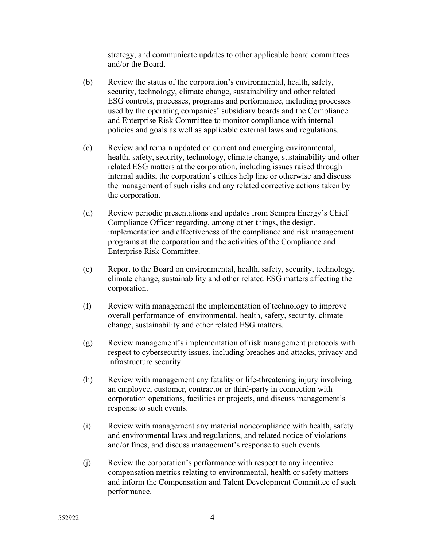strategy, and communicate updates to other applicable board committees and/or the Board.

- (b) Review the status of the corporation's environmental, health, safety, security, technology, climate change, sustainability and other related ESG controls, processes, programs and performance, including processes used by the operating companies' subsidiary boards and the Compliance and Enterprise Risk Committee to monitor compliance with internal policies and goals as well as applicable external laws and regulations.
- (c) Review and remain updated on current and emerging environmental, health, safety, security, technology, climate change, sustainability and other related ESG matters at the corporation, including issues raised through internal audits, the corporation's ethics help line or otherwise and discuss the management of such risks and any related corrective actions taken by the corporation.
- (d) Review periodic presentations and updates from Sempra Energy's Chief Compliance Officer regarding, among other things, the design, implementation and effectiveness of the compliance and risk management programs at the corporation and the activities of the Compliance and Enterprise Risk Committee.
- (e) Report to the Board on environmental, health, safety, security, technology, climate change, sustainability and other related ESG matters affecting the corporation.
- (f) Review with management the implementation of technology to improve overall performance of environmental, health, safety, security, climate change, sustainability and other related ESG matters.
- (g) Review management's implementation of risk management protocols with respect to cybersecurity issues, including breaches and attacks, privacy and infrastructure security.
- (h) Review with management any fatality or life-threatening injury involving an employee, customer, contractor or third-party in connection with corporation operations, facilities or projects, and discuss management's response to such events.
- (i) Review with management any material noncompliance with health, safety and environmental laws and regulations, and related notice of violations and/or fines, and discuss management's response to such events.
- (j) Review the corporation's performance with respect to any incentive compensation metrics relating to environmental, health or safety matters and inform the Compensation and Talent Development Committee of such performance.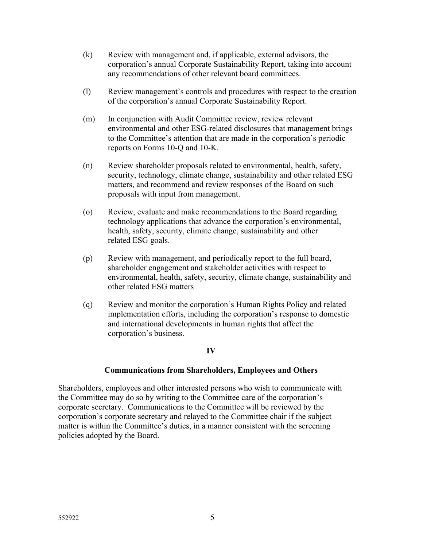- (k) Review with management and, if applicable, external advisors, the corporation's annual Corporate Sustainability Report, taking into account any recommendations of other relevant board committees.
- (l) Review management's controls and procedures with respect to the creation of the corporation's annual Corporate Sustainability Report.
- (m) In conjunction with Audit Committee review, review relevant environmental and other ESG-related disclosures that management brings to the Committee's attention that are made in the corporation's periodic reports on Forms 10-Q and 10-K.
- (n) Review shareholder proposals related to environmental, health, safety, security, technology, climate change, sustainability and other related ESG matters, and recommend and review responses of the Board on such proposals with input from management.
- (o) Review, evaluate and make recommendations to the Board regarding technology applications that advance the corporation's environmental, health, safety, security, climate change, sustainability and other related ESG goals.
- (p) Review with management, and periodically report to the full board, shareholder engagement and stakeholder activities with respect to environmental, health, safety, security, climate change, sustainability and other related ESG matters
- (q) Review and monitor the corporation's Human Rights Policy and related implementation efforts, including the corporation's response to domestic and international developments in human rights that affect the corporation's business.

# **IV**

# **Communications from Shareholders, Employees and Others**

Shareholders, employees and other interested persons who wish to communicate with the Committee may do so by writing to the Committee care of the corporation's corporate secretary. Communications to the Committee will be reviewed by the corporation's corporate secretary and relayed to the Committee chair if the subject matter is within the Committee's duties, in a manner consistent with the screening policies adopted by the Board.